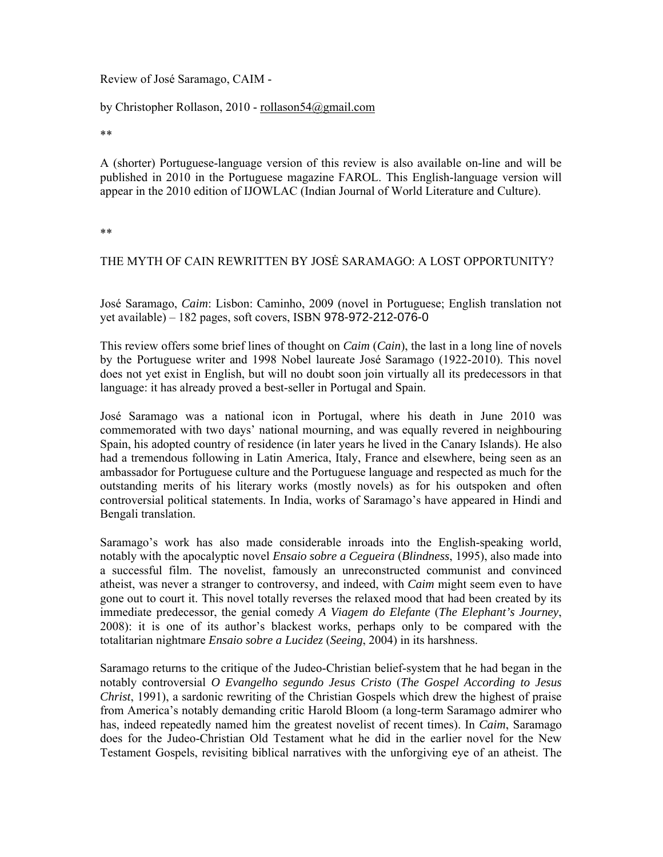## Review of José Saramago, CAIM -

## by Christopher Rollason, 2010 - rollason54@gmail.com

\*\*

A (shorter) Portuguese-language version of this review is also available on-line and will be published in 2010 in the Portuguese magazine FAROL. This English-language version will appear in the 2010 edition of IJOWLAC (Indian Journal of World Literature and Culture).

\*\*

## THE MYTH OF CAIN REWRITTEN BY JOSĖ SARAMAGO: A LOST OPPORTUNITY?

José Saramago, *Caim*: Lisbon: Caminho, 2009 (novel in Portuguese; English translation not yet available) – 182 pages, soft covers, ISBN 978-972-212-076-0

This review offers some brief lines of thought on *Caim* (*Cain*), the last in a long line of novels by the Portuguese writer and 1998 Nobel laureate José Saramago (1922-2010). This novel does not yet exist in English, but will no doubt soon join virtually all its predecessors in that language: it has already proved a best-seller in Portugal and Spain.

José Saramago was a national icon in Portugal, where his death in June 2010 was commemorated with two days' national mourning, and was equally revered in neighbouring Spain, his adopted country of residence (in later years he lived in the Canary Islands). He also had a tremendous following in Latin America, Italy, France and elsewhere, being seen as an ambassador for Portuguese culture and the Portuguese language and respected as much for the outstanding merits of his literary works (mostly novels) as for his outspoken and often controversial political statements. In India, works of Saramago's have appeared in Hindi and Bengali translation.

Saramago's work has also made considerable inroads into the English-speaking world, notably with the apocalyptic novel *Ensaio sobre a Cegueira* (*Blindness*, 1995), also made into a successful film. The novelist, famously an unreconstructed communist and convinced atheist, was never a stranger to controversy, and indeed, with *Caim* might seem even to have gone out to court it. This novel totally reverses the relaxed mood that had been created by its immediate predecessor, the genial comedy *A Viagem do Elefante* (*The Elephant's Journey*, 2008): it is one of its author's blackest works, perhaps only to be compared with the totalitarian nightmare *Ensaio sobre a Lucidez* (*Seeing*, 2004) in its harshness.

Saramago returns to the critique of the Judeo-Christian belief-system that he had began in the notably controversial *O Evangelho segundo Jesus Cristo* (*The Gospel According to Jesus Christ*, 1991), a sardonic rewriting of the Christian Gospels which drew the highest of praise from America's notably demanding critic Harold Bloom (a long-term Saramago admirer who has, indeed repeatedly named him the greatest novelist of recent times). In *Caim*, Saramago does for the Judeo-Christian Old Testament what he did in the earlier novel for the New Testament Gospels, revisiting biblical narratives with the unforgiving eye of an atheist. The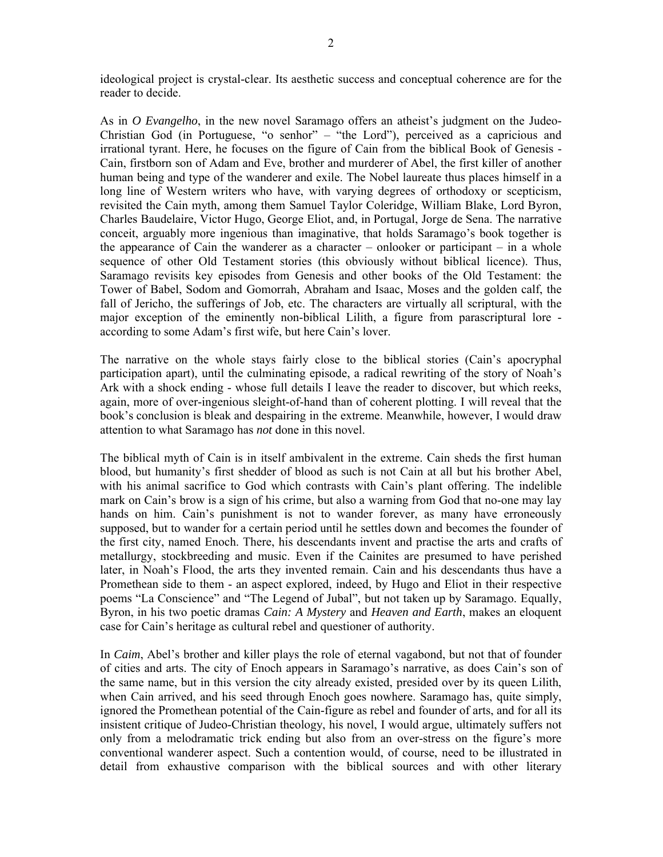ideological project is crystal-clear. Its aesthetic success and conceptual coherence are for the reader to decide.

As in *O Evangelho*, in the new novel Saramago offers an atheist's judgment on the Judeo-Christian God (in Portuguese, "o senhor" – "the Lord"), perceived as a capricious and irrational tyrant. Here, he focuses on the figure of Cain from the biblical Book of Genesis - Cain, firstborn son of Adam and Eve, brother and murderer of Abel, the first killer of another human being and type of the wanderer and exile. The Nobel laureate thus places himself in a long line of Western writers who have, with varying degrees of orthodoxy or scepticism, revisited the Cain myth, among them Samuel Taylor Coleridge, William Blake, Lord Byron, Charles Baudelaire, Victor Hugo, George Eliot, and, in Portugal, Jorge de Sena. The narrative conceit, arguably more ingenious than imaginative, that holds Saramago's book together is the appearance of Cain the wanderer as a character – onlooker or participant – in a whole sequence of other Old Testament stories (this obviously without biblical licence). Thus, Saramago revisits key episodes from Genesis and other books of the Old Testament: the Tower of Babel, Sodom and Gomorrah, Abraham and Isaac, Moses and the golden calf, the fall of Jericho, the sufferings of Job, etc. The characters are virtually all scriptural, with the major exception of the eminently non-biblical Lilith, a figure from parascriptural lore according to some Adam's first wife, but here Cain's lover.

The narrative on the whole stays fairly close to the biblical stories (Cain's apocryphal participation apart), until the culminating episode, a radical rewriting of the story of Noah's Ark with a shock ending - whose full details I leave the reader to discover, but which reeks, again, more of over-ingenious sleight-of-hand than of coherent plotting. I will reveal that the book's conclusion is bleak and despairing in the extreme. Meanwhile, however, I would draw attention to what Saramago has *not* done in this novel.

The biblical myth of Cain is in itself ambivalent in the extreme. Cain sheds the first human blood, but humanity's first shedder of blood as such is not Cain at all but his brother Abel, with his animal sacrifice to God which contrasts with Cain's plant offering. The indelible mark on Cain's brow is a sign of his crime, but also a warning from God that no-one may lay hands on him. Cain's punishment is not to wander forever, as many have erroneously supposed, but to wander for a certain period until he settles down and becomes the founder of the first city, named Enoch. There, his descendants invent and practise the arts and crafts of metallurgy, stockbreeding and music. Even if the Cainites are presumed to have perished later, in Noah's Flood, the arts they invented remain. Cain and his descendants thus have a Promethean side to them - an aspect explored, indeed, by Hugo and Eliot in their respective poems "La Conscience" and "The Legend of Jubal", but not taken up by Saramago. Equally, Byron, in his two poetic dramas *Cain: A Mystery* and *Heaven and Earth*, makes an eloquent case for Cain's heritage as cultural rebel and questioner of authority.

In *Caim*, Abel's brother and killer plays the role of eternal vagabond, but not that of founder of cities and arts. The city of Enoch appears in Saramago's narrative, as does Cain's son of the same name, but in this version the city already existed, presided over by its queen Lilith, when Cain arrived, and his seed through Enoch goes nowhere. Saramago has, quite simply, ignored the Promethean potential of the Cain-figure as rebel and founder of arts, and for all its insistent critique of Judeo-Christian theology, his novel, I would argue, ultimately suffers not only from a melodramatic trick ending but also from an over-stress on the figure's more conventional wanderer aspect. Such a contention would, of course, need to be illustrated in detail from exhaustive comparison with the biblical sources and with other literary